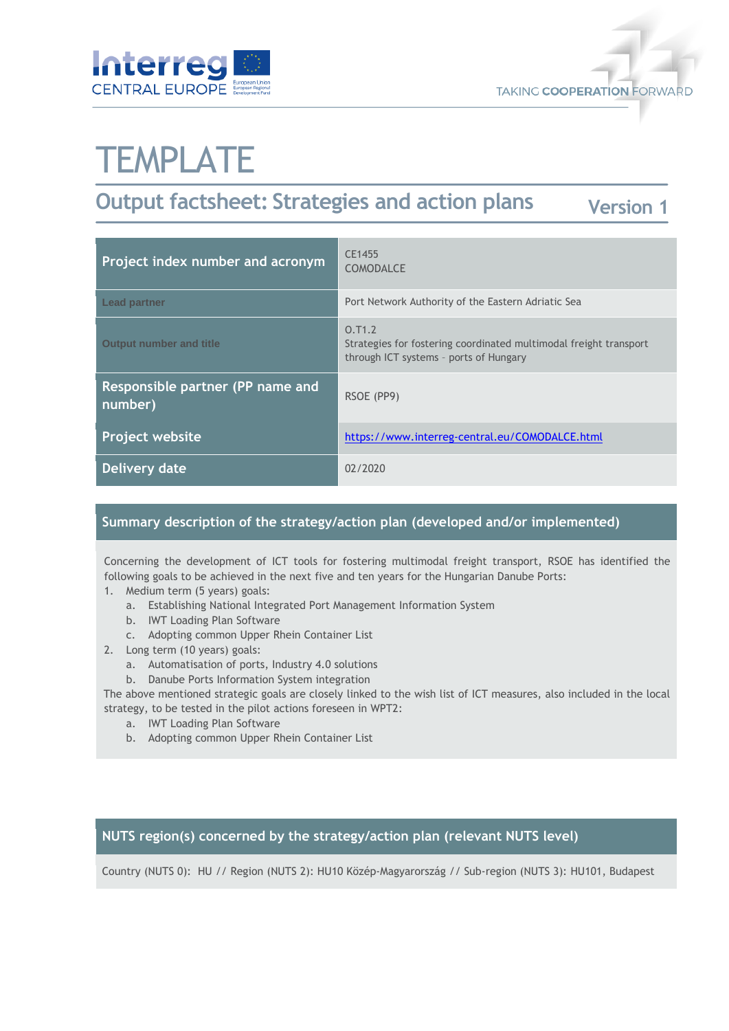



# **TEMPLATE**

## **Output factsheet: Strategies and action plans**

| <b>Version 1</b> |  |
|------------------|--|
|                  |  |

| Project index number and acronym            | CE1455<br><b>COMODALCE</b>                                                                                            |
|---------------------------------------------|-----------------------------------------------------------------------------------------------------------------------|
| <b>Lead partner</b>                         | Port Network Authority of the Eastern Adriatic Sea                                                                    |
| <b>Output number and title</b>              | 0.71.2<br>Strategies for fostering coordinated multimodal freight transport<br>through ICT systems - ports of Hungary |
| Responsible partner (PP name and<br>number) | RSOE (PP9)                                                                                                            |
| <b>Project website</b>                      | https://www.interreg-central.eu/COMODALCE.html                                                                        |
| <b>Delivery date</b>                        | 02/2020                                                                                                               |

#### **Summary description of the strategy/action plan (developed and/or implemented)**

Concerning the development of ICT tools for fostering multimodal freight transport, RSOE has identified the following goals to be achieved in the next five and ten years for the Hungarian Danube Ports:

- 1. Medium term (5 years) goals:
	- a. Establishing National Integrated Port Management Information System
	- b. IWT Loading Plan Software
	- c. Adopting common Upper Rhein Container List
- 2. Long term (10 years) goals:
	- a. Automatisation of ports, Industry 4.0 solutions
	- b. Danube Ports Information System integration

The above mentioned strategic goals are closely linked to the wish list of ICT measures, also included in the local strategy, to be tested in the pilot actions foreseen in WPT2:

- a. IWT Loading Plan Software
- b. Adopting common Upper Rhein Container List

#### **NUTS region(s) concerned by the strategy/action plan (relevant NUTS level)**

Country (NUTS 0): HU // Region (NUTS 2): HU10 Közép-Magyarország // Sub-region (NUTS 3): HU101, Budapest